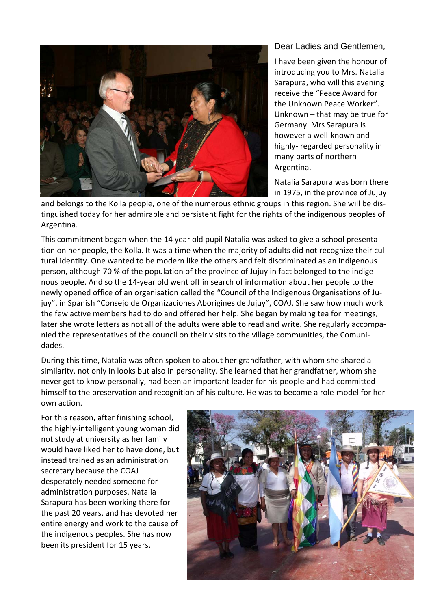

Dear Ladies and Gentlemen,

I have been given the honour of introducing you to Mrs. Natalia Sarapura, who will this evening receive the "Peace Award for the Unknown Peace Worker". Unknown – that may be true for Germany. Mrs Sarapura is however a well‐known and highly‐ regarded personality in many parts of northern Argentina.

Natalia Sarapura was born there in 1975, in the province of Jujuy

and belongs to the Kolla people, one of the numerous ethnic groups in this region. She will be distinguished today for her admirable and persistent fight for the rights of the indigenous peoples of Argentina.

This commitment began when the 14 year old pupil Natalia was asked to give a school presenta‐ tion on her people, the Kolla. It was a time when the majority of adults did not recognize their cul‐ tural identity. One wanted to be modern like the others and felt discriminated as an indigenous person, although 70 % of the population of the province of Jujuy in fact belonged to the indige‐ nous people. And so the 14‐year old went off in search of information about her people to the newly opened office of an organisation called the "Council of the Indigenous Organisations of Ju‐ juy", in Spanish "Consejo de Organizaciones Aborigines de Jujuy", COAJ. She saw how much work the few active members had to do and offered her help. She began by making tea for meetings, later she wrote letters as not all of the adults were able to read and write. She regularly accompanied the representatives of the council on their visits to the village communities, the Comuni‐ dades.

During this time, Natalia was often spoken to about her grandfather, with whom she shared a similarity, not only in looks but also in personality. She learned that her grandfather, whom she never got to know personally, had been an important leader for his people and had committed himself to the preservation and recognition of his culture. He was to become a role-model for her own action.

For this reason, after finishing school, the highly‐intelligent young woman did not study at university as her family would have liked her to have done, but instead trained as an administration secretary because the COAJ desperately needed someone for administration purposes. Natalia Sarapura has been working there for the past 20 years, and has devoted her entire energy and work to the cause of the indigenous peoples. She has now been its president for 15 years.

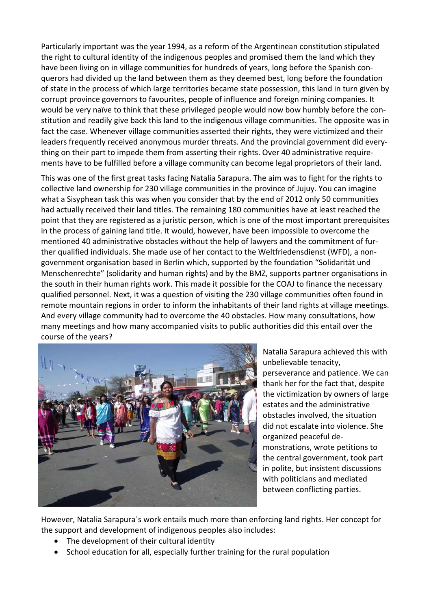Particularly important was the year 1994, as a reform of the Argentinean constitution stipulated the right to cultural identity of the indigenous peoples and promised them the land which they have been living on in village communities for hundreds of years, long before the Spanish conquerors had divided up the land between them as they deemed best, long before the foundation of state in the process of which large territories became state possession, this land in turn given by corrupt province governors to favourites, people of influence and foreign mining companies. It would be very naïve to think that these privileged people would now bow humbly before the con‐ stitution and readily give back this land to the indigenous village communities. The opposite was in fact the case. Whenever village communities asserted their rights, they were victimized and their leaders frequently received anonymous murder threats. And the provincial government did every‐ thing on their part to impede them from asserting their rights. Over 40 administrative require‐ ments have to be fulfilled before a village community can become legal proprietors of their land.

This was one of the first great tasks facing Natalia Sarapura. The aim was to fight for the rights to collective land ownership for 230 village communities in the province of Jujuy. You can imagine what a Sisyphean task this was when you consider that by the end of 2012 only 50 communities had actually received their land titles. The remaining 180 communities have at least reached the point that they are registered as a juristic person, which is one of the most important prerequisites in the process of gaining land title. It would, however, have been impossible to overcome the mentioned 40 administrative obstacles without the help of lawyers and the commitment of fur‐ ther qualified individuals. She made use of her contact to the Weltfriedensdienst (WFD), a non‐ government organisation based in Berlin which, supported by the foundation "Solidarität und Menschenrechte" (solidarity and human rights) and by the BMZ, supports partner organisations in the south in their human rights work. This made it possible for the COAJ to finance the necessary qualified personnel. Next, it was a question of visiting the 230 village communities often found in remote mountain regions in order to inform the inhabitants of their land rights at village meetings. And every village community had to overcome the 40 obstacles. How many consultations, how many meetings and how many accompanied visits to public authorities did this entail over the course of the years?



Natalia Sarapura achieved this with unbelievable tenacity, perseverance and patience. We can thank her for the fact that, despite the victimization by owners of large estates and the administrative obstacles involved, the situation did not escalate into violence. She organized peaceful de‐ monstrations, wrote petitions to the central government, took part in polite, but insistent discussions with politicians and mediated between conflicting parties.

However, Natalia Sarapura´s work entails much more than enforcing land rights. Her concept for the support and development of indigenous peoples also includes:

- The development of their cultural identity
- School education for all, especially further training for the rural population